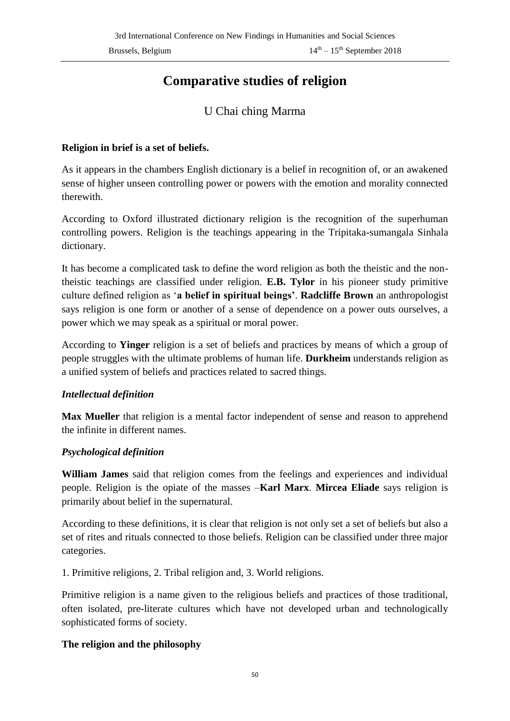# **Comparative studies of religion**

# U Chai ching Marma

#### **Religion in brief is a set of beliefs.**

As it appears in the chambers English dictionary is a belief in recognition of, or an awakened sense of higher unseen controlling power or powers with the emotion and morality connected therewith.

According to Oxford illustrated dictionary religion is the recognition of the superhuman controlling powers. Religion is the teachings appearing in the Tripitaka-sumangala Sinhala dictionary.

It has become a complicated task to define the word religion as both the theistic and the nontheistic teachings are classified under religion. **E.B. Tylor** in his pioneer study primitive culture defined religion as '**a belief in spiritual beings'**. **Radcliffe Brown** an anthropologist says religion is one form or another of a sense of dependence on a power outs ourselves, a power which we may speak as a spiritual or moral power.

According to **Yinger** religion is a set of beliefs and practices by means of which a group of people struggles with the ultimate problems of human life. **Durkheim** understands religion as a unified system of beliefs and practices related to sacred things.

#### *Intellectual definition*

**Max Mueller** that religion is a mental factor independent of sense and reason to apprehend the infinite in different names.

#### *Psychological definition*

**William James** said that religion comes from the feelings and experiences and individual people. Religion is the opiate of the masses –**Karl Marx**. **Mircea Eliade** says religion is primarily about belief in the supernatural.

According to these definitions, it is clear that religion is not only set a set of beliefs but also a set of rites and rituals connected to those beliefs. Religion can be classified under three major categories.

1. Primitive religions, 2. Tribal religion and, 3. World religions.

Primitive religion is a name given to the religious beliefs and practices of those traditional, often isolated, pre-literate cultures which have not developed urban and technologically sophisticated forms of society.

#### **The religion and the philosophy**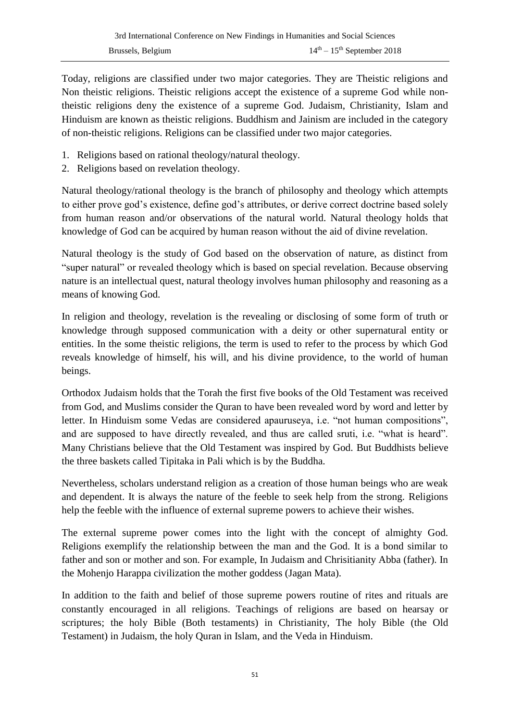Today, religions are classified under two major categories. They are Theistic religions and Non theistic religions. Theistic religions accept the existence of a supreme God while nontheistic religions deny the existence of a supreme God. Judaism, Christianity, Islam and Hinduism are known as theistic religions. Buddhism and Jainism are included in the category of non-theistic religions. Religions can be classified under two major categories.

- 1. Religions based on rational theology/natural theology.
- 2. Religions based on revelation theology.

Natural theology/rational theology is the branch of philosophy and theology which attempts to either prove god's existence, define god's attributes, or derive correct doctrine based solely from human reason and/or observations of the natural world. Natural theology holds that knowledge of God can be acquired by human reason without the aid of divine revelation.

Natural theology is the study of God based on the observation of nature, as distinct from "super natural" or revealed theology which is based on special revelation. Because observing nature is an intellectual quest, natural theology involves human philosophy and reasoning as a means of knowing God.

In religion and theology, revelation is the revealing or disclosing of some form of truth or knowledge through supposed communication with a deity or other supernatural entity or entities. In the some theistic religions, the term is used to refer to the process by which God reveals knowledge of himself, his will, and his divine providence, to the world of human beings.

Orthodox Judaism holds that the Torah the first five books of the Old Testament was received from God, and Muslims consider the Quran to have been revealed word by word and letter by letter. In Hinduism some Vedas are considered apauruseya, i.e. "not human compositions", and are supposed to have directly revealed, and thus are called sruti, i.e. "what is heard". Many Christians believe that the Old Testament was inspired by God. But Buddhists believe the three baskets called Tipitaka in Pali which is by the Buddha.

Nevertheless, scholars understand religion as a creation of those human beings who are weak and dependent. It is always the nature of the feeble to seek help from the strong. Religions help the feeble with the influence of external supreme powers to achieve their wishes.

The external supreme power comes into the light with the concept of almighty God. Religions exemplify the relationship between the man and the God. It is a bond similar to father and son or mother and son. For example, In Judaism and Chrisitianity Abba (father). In the Mohenjo Harappa civilization the mother goddess (Jagan Mata).

In addition to the faith and belief of those supreme powers routine of rites and rituals are constantly encouraged in all religions. Teachings of religions are based on hearsay or scriptures; the holy Bible (Both testaments) in Christianity, The holy Bible (the Old Testament) in Judaism, the holy Quran in Islam, and the Veda in Hinduism.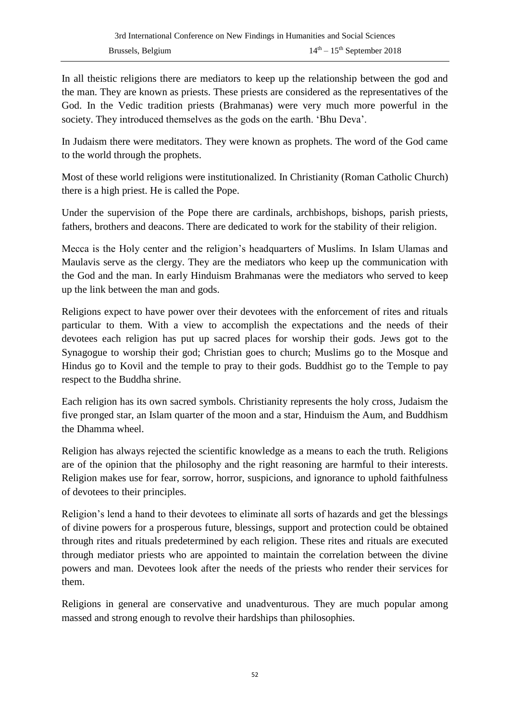In all theistic religions there are mediators to keep up the relationship between the god and the man. They are known as priests. These priests are considered as the representatives of the God. In the Vedic tradition priests (Brahmanas) were very much more powerful in the society. They introduced themselves as the gods on the earth. 'Bhu Deva'.

In Judaism there were meditators. They were known as prophets. The word of the God came to the world through the prophets.

Most of these world religions were institutionalized. In Christianity (Roman Catholic Church) there is a high priest. He is called the Pope.

Under the supervision of the Pope there are cardinals, archbishops, bishops, parish priests, fathers, brothers and deacons. There are dedicated to work for the stability of their religion.

Mecca is the Holy center and the religion's headquarters of Muslims. In Islam Ulamas and Maulavis serve as the clergy. They are the mediators who keep up the communication with the God and the man. In early Hinduism Brahmanas were the mediators who served to keep up the link between the man and gods.

Religions expect to have power over their devotees with the enforcement of rites and rituals particular to them. With a view to accomplish the expectations and the needs of their devotees each religion has put up sacred places for worship their gods. Jews got to the Synagogue to worship their god; Christian goes to church; Muslims go to the Mosque and Hindus go to Kovil and the temple to pray to their gods. Buddhist go to the Temple to pay respect to the Buddha shrine.

Each religion has its own sacred symbols. Christianity represents the holy cross, Judaism the five pronged star, an Islam quarter of the moon and a star, Hinduism the Aum, and Buddhism the Dhamma wheel.

Religion has always rejected the scientific knowledge as a means to each the truth. Religions are of the opinion that the philosophy and the right reasoning are harmful to their interests. Religion makes use for fear, sorrow, horror, suspicions, and ignorance to uphold faithfulness of devotees to their principles.

Religion's lend a hand to their devotees to eliminate all sorts of hazards and get the blessings of divine powers for a prosperous future, blessings, support and protection could be obtained through rites and rituals predetermined by each religion. These rites and rituals are executed through mediator priests who are appointed to maintain the correlation between the divine powers and man. Devotees look after the needs of the priests who render their services for them.

Religions in general are conservative and unadventurous. They are much popular among massed and strong enough to revolve their hardships than philosophies.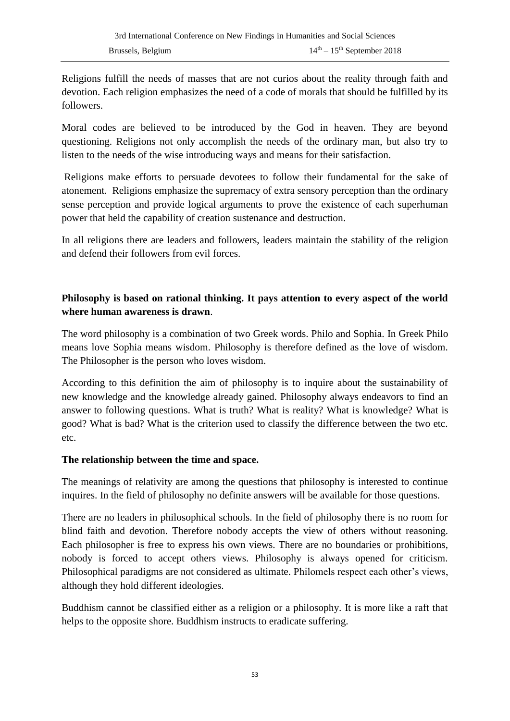Religions fulfill the needs of masses that are not curios about the reality through faith and devotion. Each religion emphasizes the need of a code of morals that should be fulfilled by its followers.

Moral codes are believed to be introduced by the God in heaven. They are beyond questioning. Religions not only accomplish the needs of the ordinary man, but also try to listen to the needs of the wise introducing ways and means for their satisfaction.

Religions make efforts to persuade devotees to follow their fundamental for the sake of atonement. Religions emphasize the supremacy of extra sensory perception than the ordinary sense perception and provide logical arguments to prove the existence of each superhuman power that held the capability of creation sustenance and destruction.

In all religions there are leaders and followers, leaders maintain the stability of the religion and defend their followers from evil forces.

# **Philosophy is based on rational thinking. It pays attention to every aspect of the world where human awareness is drawn**.

The word philosophy is a combination of two Greek words. Philo and Sophia. In Greek Philo means love Sophia means wisdom. Philosophy is therefore defined as the love of wisdom. The Philosopher is the person who loves wisdom.

According to this definition the aim of philosophy is to inquire about the sustainability of new knowledge and the knowledge already gained. Philosophy always endeavors to find an answer to following questions. What is truth? What is reality? What is knowledge? What is good? What is bad? What is the criterion used to classify the difference between the two etc. etc.

## **The relationship between the time and space.**

The meanings of relativity are among the questions that philosophy is interested to continue inquires. In the field of philosophy no definite answers will be available for those questions.

There are no leaders in philosophical schools. In the field of philosophy there is no room for blind faith and devotion. Therefore nobody accepts the view of others without reasoning. Each philosopher is free to express his own views. There are no boundaries or prohibitions, nobody is forced to accept others views. Philosophy is always opened for criticism. Philosophical paradigms are not considered as ultimate. Philomels respect each other's views, although they hold different ideologies.

Buddhism cannot be classified either as a religion or a philosophy. It is more like a raft that helps to the opposite shore. Buddhism instructs to eradicate suffering.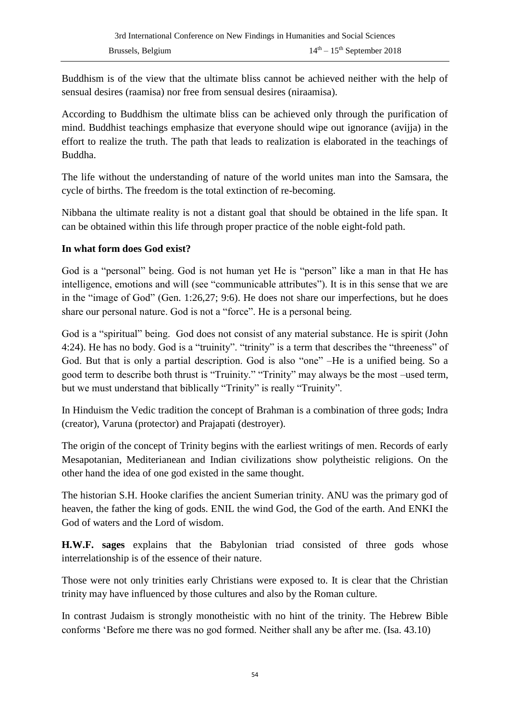Buddhism is of the view that the ultimate bliss cannot be achieved neither with the help of sensual desires (raamisa) nor free from sensual desires (niraamisa).

According to Buddhism the ultimate bliss can be achieved only through the purification of mind. Buddhist teachings emphasize that everyone should wipe out ignorance (avijja) in the effort to realize the truth. The path that leads to realization is elaborated in the teachings of Buddha.

The life without the understanding of nature of the world unites man into the Samsara, the cycle of births. The freedom is the total extinction of re-becoming.

Nibbana the ultimate reality is not a distant goal that should be obtained in the life span. It can be obtained within this life through proper practice of the noble eight-fold path.

## **In what form does God exist?**

God is a "personal" being. God is not human yet He is "person" like a man in that He has intelligence, emotions and will (see "communicable attributes"). It is in this sense that we are in the "image of God" (Gen. 1:26,27; 9:6). He does not share our imperfections, but he does share our personal nature. God is not a "force". He is a personal being.

God is a "spiritual" being. God does not consist of any material substance. He is spirit (John 4:24). He has no body. God is a "truinity". "trinity" is a term that describes the "threeness" of God. But that is only a partial description. God is also "one" –He is a unified being. So a good term to describe both thrust is "Truinity." "Trinity" may always be the most –used term, but we must understand that biblically "Trinity" is really "Truinity".

In Hinduism the Vedic tradition the concept of Brahman is a combination of three gods; Indra (creator), Varuna (protector) and Prajapati (destroyer).

The origin of the concept of Trinity begins with the earliest writings of men. Records of early Mesapotanian, Mediterianean and Indian civilizations show polytheistic religions. On the other hand the idea of one god existed in the same thought.

The historian S.H. Hooke clarifies the ancient Sumerian trinity. ANU was the primary god of heaven, the father the king of gods. ENIL the wind God, the God of the earth. And ENKI the God of waters and the Lord of wisdom.

**H.W.F. sages** explains that the Babylonian triad consisted of three gods whose interrelationship is of the essence of their nature.

Those were not only trinities early Christians were exposed to. It is clear that the Christian trinity may have influenced by those cultures and also by the Roman culture.

In contrast Judaism is strongly monotheistic with no hint of the trinity. The Hebrew Bible conforms 'Before me there was no god formed. Neither shall any be after me. (Isa. 43.10)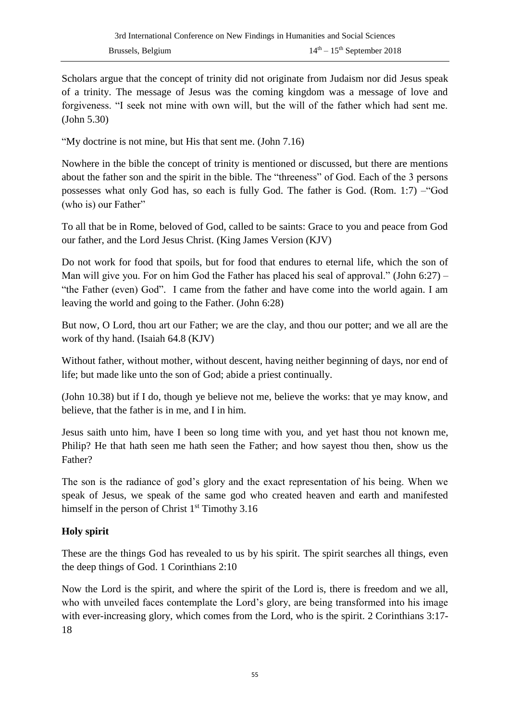Scholars argue that the concept of trinity did not originate from Judaism nor did Jesus speak of a trinity. The message of Jesus was the coming kingdom was a message of love and forgiveness. "I seek not mine with own will, but the will of the father which had sent me. (John 5.30)

"My doctrine is not mine, but His that sent me. (John 7.16)

Nowhere in the bible the concept of trinity is mentioned or discussed, but there are mentions about the father son and the spirit in the bible. The "threeness" of God. Each of the 3 persons possesses what only God has, so each is fully God. The father is God. (Rom. 1:7) –"God (who is) our Father"

To all that be in Rome, beloved of God, called to be saints: Grace to you and peace from God our father, and the Lord Jesus Christ. (King James Version (KJV)

Do not work for food that spoils, but for food that endures to eternal life, which the son of Man will give you. For on him God the Father has placed his seal of approval." (John 6:27) – "the Father (even) God". I came from the father and have come into the world again. I am leaving the world and going to the Father. (John 6:28)

But now, O Lord, thou art our Father; we are the clay, and thou our potter; and we all are the work of thy hand. (Isaiah 64.8 (KJV)

Without father, without mother, without descent, having neither beginning of days, nor end of life; but made like unto the son of God; abide a priest continually.

(John 10.38) but if I do, though ye believe not me, believe the works: that ye may know, and believe, that the father is in me, and I in him.

Jesus saith unto him, have I been so long time with you, and yet hast thou not known me, Philip? He that hath seen me hath seen the Father; and how sayest thou then, show us the Father?

The son is the radiance of god's glory and the exact representation of his being. When we speak of Jesus, we speak of the same god who created heaven and earth and manifested himself in the person of Christ  $1<sup>st</sup>$  Timothy 3.16

## **Holy spirit**

These are the things God has revealed to us by his spirit. The spirit searches all things, even the deep things of God. 1 Corinthians 2:10

Now the Lord is the spirit, and where the spirit of the Lord is, there is freedom and we all, who with unveiled faces contemplate the Lord's glory, are being transformed into his image with ever-increasing glory, which comes from the Lord, who is the spirit. 2 Corinthians 3:17-18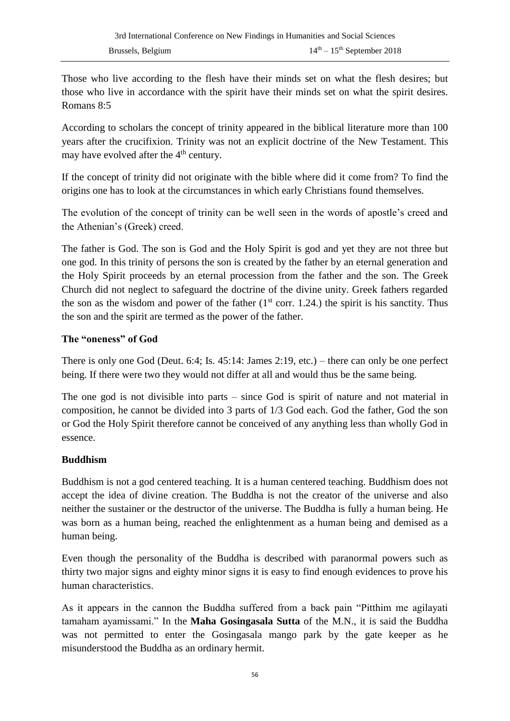Those who live according to the flesh have their minds set on what the flesh desires; but those who live in accordance with the spirit have their minds set on what the spirit desires. Romans 8:5

According to scholars the concept of trinity appeared in the biblical literature more than 100 years after the crucifixion. Trinity was not an explicit doctrine of the New Testament. This may have evolved after the  $4<sup>th</sup>$  century.

If the concept of trinity did not originate with the bible where did it come from? To find the origins one has to look at the circumstances in which early Christians found themselves.

The evolution of the concept of trinity can be well seen in the words of apostle's creed and the Athenian's (Greek) creed.

The father is God. The son is God and the Holy Spirit is god and yet they are not three but one god. In this trinity of persons the son is created by the father by an eternal generation and the Holy Spirit proceeds by an eternal procession from the father and the son. The Greek Church did not neglect to safeguard the doctrine of the divine unity. Greek fathers regarded the son as the wisdom and power of the father  $(1<sup>st</sup> corr. 1.24)$  the spirit is his sanctity. Thus the son and the spirit are termed as the power of the father.

## **The "oneness" of God**

There is only one God (Deut. 6:4; Is. 45:14: James 2:19, etc.) – there can only be one perfect being. If there were two they would not differ at all and would thus be the same being.

The one god is not divisible into parts – since God is spirit of nature and not material in composition, he cannot be divided into 3 parts of 1/3 God each. God the father, God the son or God the Holy Spirit therefore cannot be conceived of any anything less than wholly God in essence.

## **Buddhism**

Buddhism is not a god centered teaching. It is a human centered teaching. Buddhism does not accept the idea of divine creation. The Buddha is not the creator of the universe and also neither the sustainer or the destructor of the universe. The Buddha is fully a human being. He was born as a human being, reached the enlightenment as a human being and demised as a human being.

Even though the personality of the Buddha is described with paranormal powers such as thirty two major signs and eighty minor signs it is easy to find enough evidences to prove his human characteristics.

As it appears in the cannon the Buddha suffered from a back pain "Pitthim me agilayati tamaham ayamissami." In the **Maha Gosingasala Sutta** of the M.N., it is said the Buddha was not permitted to enter the Gosingasala mango park by the gate keeper as he misunderstood the Buddha as an ordinary hermit.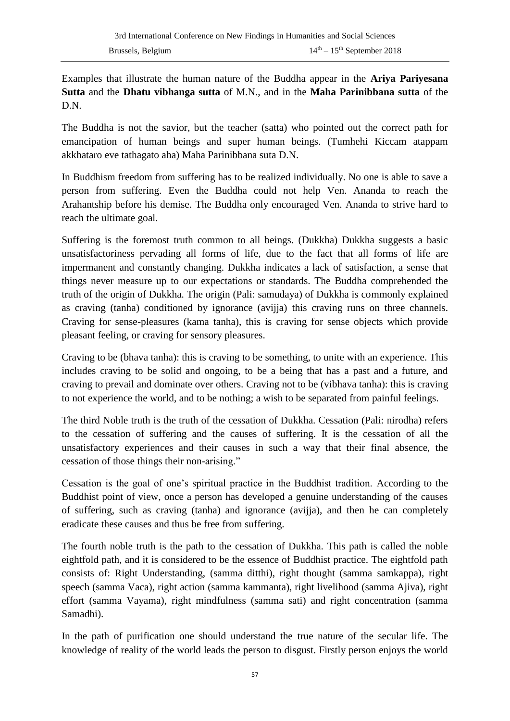Examples that illustrate the human nature of the Buddha appear in the **Ariya Pariyesana Sutta** and the **Dhatu vibhanga sutta** of M.N., and in the **Maha Parinibbana sutta** of the D.N.

The Buddha is not the savior, but the teacher (satta) who pointed out the correct path for emancipation of human beings and super human beings. (Tumhehi Kiccam atappam akkhataro eve tathagato aha) Maha Parinibbana suta D.N.

In Buddhism freedom from suffering has to be realized individually. No one is able to save a person from suffering. Even the Buddha could not help Ven. Ananda to reach the Arahantship before his demise. The Buddha only encouraged Ven. Ananda to strive hard to reach the ultimate goal.

Suffering is the foremost truth common to all beings. (Dukkha) Dukkha suggests a basic unsatisfactoriness pervading all forms of life, due to the fact that all forms of life are impermanent and constantly changing. Dukkha indicates a lack of satisfaction, a sense that things never measure up to our expectations or standards. The Buddha comprehended the truth of the origin of Dukkha. The origin (Pali: samudaya) of Dukkha is commonly explained as craving (tanha) conditioned by ignorance (avijja) this craving runs on three channels. Craving for sense-pleasures (kama tanha), this is craving for sense objects which provide pleasant feeling, or craving for sensory pleasures.

Craving to be (bhava tanha): this is craving to be something, to unite with an experience. This includes craving to be solid and ongoing, to be a being that has a past and a future, and craving to prevail and dominate over others. Craving not to be (vibhava tanha): this is craving to not experience the world, and to be nothing; a wish to be separated from painful feelings.

The third Noble truth is the truth of the cessation of Dukkha. Cessation (Pali: nirodha) refers to the cessation of suffering and the causes of suffering. It is the cessation of all the unsatisfactory experiences and their causes in such a way that their final absence, the cessation of those things their non-arising."

Cessation is the goal of one's spiritual practice in the Buddhist tradition. According to the Buddhist point of view, once a person has developed a genuine understanding of the causes of suffering, such as craving (tanha) and ignorance (avijja), and then he can completely eradicate these causes and thus be free from suffering.

The fourth noble truth is the path to the cessation of Dukkha. This path is called the noble eightfold path, and it is considered to be the essence of Buddhist practice. The eightfold path consists of: Right Understanding, (samma ditthi), right thought (samma samkappa), right speech (samma Vaca), right action (samma kammanta), right livelihood (samma Ajiva), right effort (samma Vayama), right mindfulness (samma sati) and right concentration (samma Samadhi).

In the path of purification one should understand the true nature of the secular life. The knowledge of reality of the world leads the person to disgust. Firstly person enjoys the world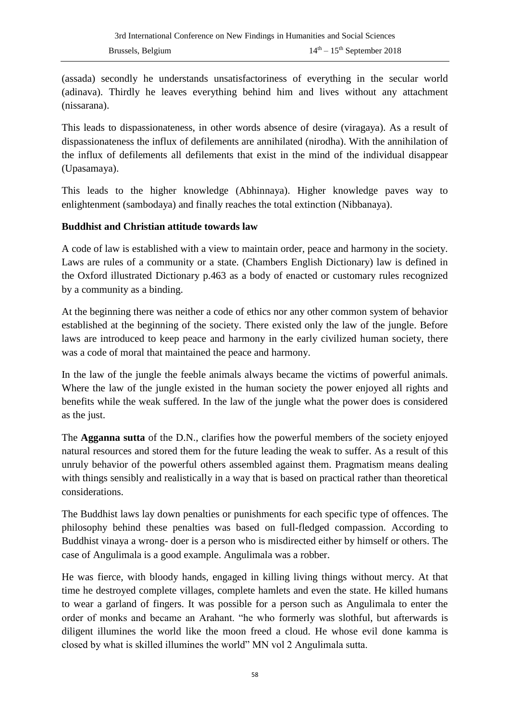(assada) secondly he understands unsatisfactoriness of everything in the secular world (adinava). Thirdly he leaves everything behind him and lives without any attachment (nissarana).

This leads to dispassionateness, in other words absence of desire (viragaya). As a result of dispassionateness the influx of defilements are annihilated (nirodha). With the annihilation of the influx of defilements all defilements that exist in the mind of the individual disappear (Upasamaya).

This leads to the higher knowledge (Abhinnaya). Higher knowledge paves way to enlightenment (sambodaya) and finally reaches the total extinction (Nibbanaya).

#### **Buddhist and Christian attitude towards law**

A code of law is established with a view to maintain order, peace and harmony in the society. Laws are rules of a community or a state. (Chambers English Dictionary) law is defined in the Oxford illustrated Dictionary p.463 as a body of enacted or customary rules recognized by a community as a binding.

At the beginning there was neither a code of ethics nor any other common system of behavior established at the beginning of the society. There existed only the law of the jungle. Before laws are introduced to keep peace and harmony in the early civilized human society, there was a code of moral that maintained the peace and harmony.

In the law of the jungle the feeble animals always became the victims of powerful animals. Where the law of the jungle existed in the human society the power enjoyed all rights and benefits while the weak suffered. In the law of the jungle what the power does is considered as the just.

The **Agganna sutta** of the D.N., clarifies how the powerful members of the society enjoyed natural resources and stored them for the future leading the weak to suffer. As a result of this unruly behavior of the powerful others assembled against them. Pragmatism means dealing with things sensibly and realistically in a way that is based on practical rather than theoretical considerations.

The Buddhist laws lay down penalties or punishments for each specific type of offences. The philosophy behind these penalties was based on full-fledged compassion. According to Buddhist vinaya a wrong- doer is a person who is misdirected either by himself or others. The case of Angulimala is a good example. Angulimala was a robber.

He was fierce, with bloody hands, engaged in killing living things without mercy. At that time he destroyed complete villages, complete hamlets and even the state. He killed humans to wear a garland of fingers. It was possible for a person such as Angulimala to enter the order of monks and became an Arahant. "he who formerly was slothful, but afterwards is diligent illumines the world like the moon freed a cloud. He whose evil done kamma is closed by what is skilled illumines the world" MN vol 2 Angulimala sutta.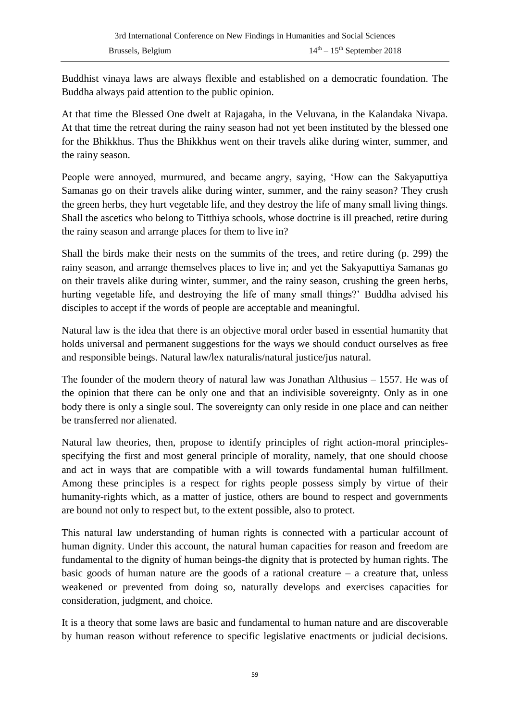Buddhist vinaya laws are always flexible and established on a democratic foundation. The Buddha always paid attention to the public opinion.

At that time the Blessed One dwelt at Rajagaha, in the Veluvana, in the Kalandaka Nivapa. At that time the retreat during the rainy season had not yet been instituted by the blessed one for the Bhikkhus. Thus the Bhikkhus went on their travels alike during winter, summer, and the rainy season.

People were annoyed, murmured, and became angry, saying, 'How can the Sakyaputtiya Samanas go on their travels alike during winter, summer, and the rainy season? They crush the green herbs, they hurt vegetable life, and they destroy the life of many small living things. Shall the ascetics who belong to Titthiya schools, whose doctrine is ill preached, retire during the rainy season and arrange places for them to live in?

Shall the birds make their nests on the summits of the trees, and retire during (p. 299) the rainy season, and arrange themselves places to live in; and yet the Sakyaputtiya Samanas go on their travels alike during winter, summer, and the rainy season, crushing the green herbs, hurting vegetable life, and destroying the life of many small things?' Buddha advised his disciples to accept if the words of people are acceptable and meaningful.

Natural law is the idea that there is an objective moral order based in essential humanity that holds universal and permanent suggestions for the ways we should conduct ourselves as free and responsible beings. Natural law/lex naturalis/natural justice/jus natural.

The founder of the modern theory of natural law was Jonathan Althusius – 1557. He was of the opinion that there can be only one and that an indivisible sovereignty. Only as in one body there is only a single soul. The sovereignty can only reside in one place and can neither be transferred nor alienated.

Natural law theories, then, propose to identify principles of right action-moral principlesspecifying the first and most general principle of morality, namely, that one should choose and act in ways that are compatible with a will towards fundamental human fulfillment. Among these principles is a respect for rights people possess simply by virtue of their humanity-rights which, as a matter of justice, others are bound to respect and governments are bound not only to respect but, to the extent possible, also to protect.

This natural law understanding of human rights is connected with a particular account of human dignity. Under this account, the natural human capacities for reason and freedom are fundamental to the dignity of human beings-the dignity that is protected by human rights. The basic goods of human nature are the goods of a rational creature – a creature that, unless weakened or prevented from doing so, naturally develops and exercises capacities for consideration, judgment, and choice.

It is a theory that some laws are basic and fundamental to human nature and are discoverable by human reason without reference to specific legislative enactments or judicial decisions.